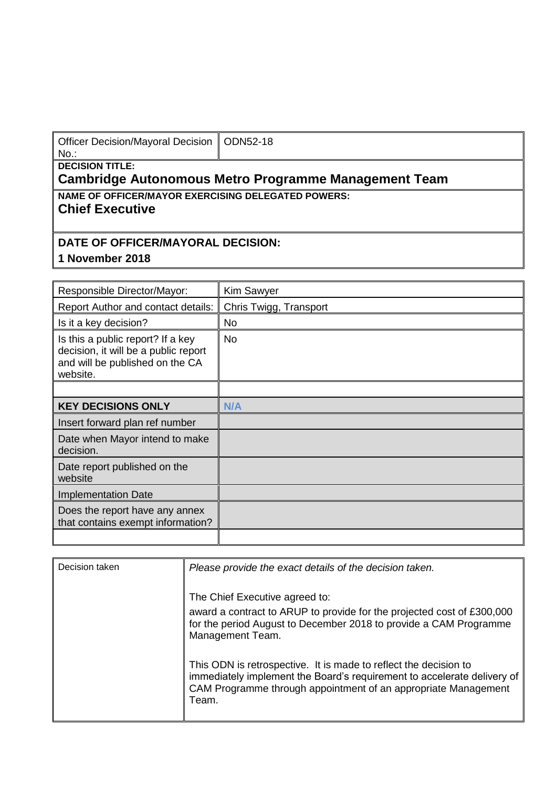| Officer Decision/Mayoral Decision   ODN52-18 |  |
|----------------------------------------------|--|
| No.:                                         |  |

#### **DECISION TITLE:**

#### **Cambridge Autonomous Metro Programme Management Team**

**NAME OF OFFICER/MAYOR EXERCISING DELEGATED POWERS:**

## **Chief Executive**

### **DATE OF OFFICER/MAYORAL DECISION:**

# **1 November 2018**

| Responsible Director/Mayor:                                                                                              | <b>Kim Sawyer</b>      |
|--------------------------------------------------------------------------------------------------------------------------|------------------------|
| Report Author and contact details:                                                                                       | Chris Twigg, Transport |
| Is it a key decision?                                                                                                    | <b>No</b>              |
| Is this a public report? If a key<br>decision, it will be a public report<br>and will be published on the CA<br>website. | <b>No</b>              |
|                                                                                                                          |                        |
| <b>KEY DECISIONS ONLY</b>                                                                                                | N/A                    |
| Insert forward plan ref number                                                                                           |                        |
| Date when Mayor intend to make<br>decision.                                                                              |                        |
| Date report published on the<br>website                                                                                  |                        |
| <b>Implementation Date</b>                                                                                               |                        |
| Does the report have any annex<br>that contains exempt information?                                                      |                        |
|                                                                                                                          |                        |

| Decision taken | Please provide the exact details of the decision taken.                                                                                                                                                                |
|----------------|------------------------------------------------------------------------------------------------------------------------------------------------------------------------------------------------------------------------|
|                | The Chief Executive agreed to:<br>award a contract to ARUP to provide for the projected cost of £300,000<br>for the period August to December 2018 to provide a CAM Programme<br>Management Team.                      |
|                | This ODN is retrospective. It is made to reflect the decision to<br>immediately implement the Board's requirement to accelerate delivery of<br>CAM Programme through appointment of an appropriate Management<br>Team. |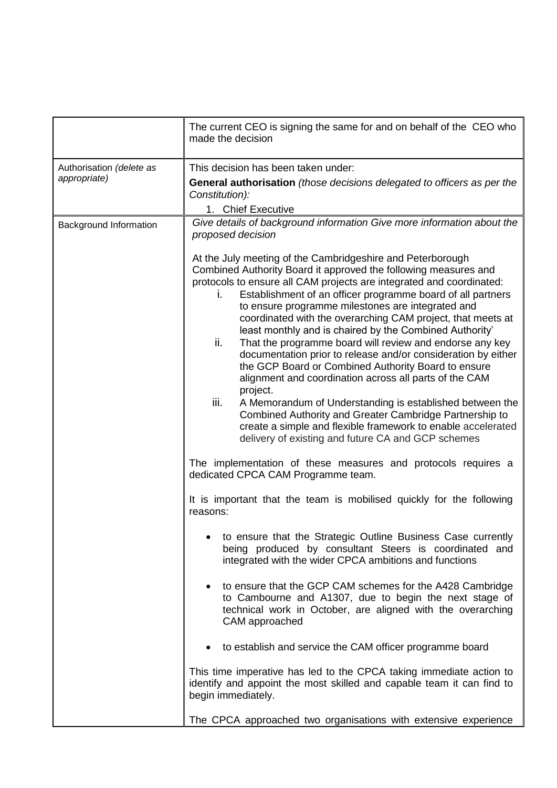|                                          | The current CEO is signing the same for and on behalf of the CEO who<br>made the decision                                                                                                                                                                                                                                                                                                                                                                                                                                                                                                                                                                                                                                                                                                                                                                                                                                                                                                                                                                                                                                                                                                                                                                                                                                                                                                                                                                                                                                                                                                                                                                                                                                                                                                                |
|------------------------------------------|----------------------------------------------------------------------------------------------------------------------------------------------------------------------------------------------------------------------------------------------------------------------------------------------------------------------------------------------------------------------------------------------------------------------------------------------------------------------------------------------------------------------------------------------------------------------------------------------------------------------------------------------------------------------------------------------------------------------------------------------------------------------------------------------------------------------------------------------------------------------------------------------------------------------------------------------------------------------------------------------------------------------------------------------------------------------------------------------------------------------------------------------------------------------------------------------------------------------------------------------------------------------------------------------------------------------------------------------------------------------------------------------------------------------------------------------------------------------------------------------------------------------------------------------------------------------------------------------------------------------------------------------------------------------------------------------------------------------------------------------------------------------------------------------------------|
| Authorisation (delete as<br>appropriate) | This decision has been taken under:<br>General authorisation (those decisions delegated to officers as per the<br>Constitution):<br>1. Chief Executive                                                                                                                                                                                                                                                                                                                                                                                                                                                                                                                                                                                                                                                                                                                                                                                                                                                                                                                                                                                                                                                                                                                                                                                                                                                                                                                                                                                                                                                                                                                                                                                                                                                   |
| Background Information                   | Give details of background information Give more information about the<br>proposed decision<br>At the July meeting of the Cambridgeshire and Peterborough<br>Combined Authority Board it approved the following measures and<br>protocols to ensure all CAM projects are integrated and coordinated:<br>Establishment of an officer programme board of all partners<br>İ.<br>to ensure programme milestones are integrated and<br>coordinated with the overarching CAM project, that meets at<br>least monthly and is chaired by the Combined Authority'<br>That the programme board will review and endorse any key<br>ii.<br>documentation prior to release and/or consideration by either<br>the GCP Board or Combined Authority Board to ensure<br>alignment and coordination across all parts of the CAM<br>project.<br>iii.<br>A Memorandum of Understanding is established between the<br>Combined Authority and Greater Cambridge Partnership to<br>create a simple and flexible framework to enable accelerated<br>delivery of existing and future CA and GCP schemes<br>The implementation of these measures and protocols requires a<br>dedicated CPCA CAM Programme team.<br>It is important that the team is mobilised quickly for the following<br>reasons:<br>to ensure that the Strategic Outline Business Case currently<br>being produced by consultant Steers is coordinated and<br>integrated with the wider CPCA ambitions and functions<br>to ensure that the GCP CAM schemes for the A428 Cambridge<br>to Cambourne and A1307, due to begin the next stage of<br>technical work in October, are aligned with the overarching<br>CAM approached<br>to establish and service the CAM officer programme board<br>This time imperative has led to the CPCA taking immediate action to |
|                                          | identify and appoint the most skilled and capable team it can find to<br>begin immediately.<br>The CPCA approached two organisations with extensive experience                                                                                                                                                                                                                                                                                                                                                                                                                                                                                                                                                                                                                                                                                                                                                                                                                                                                                                                                                                                                                                                                                                                                                                                                                                                                                                                                                                                                                                                                                                                                                                                                                                           |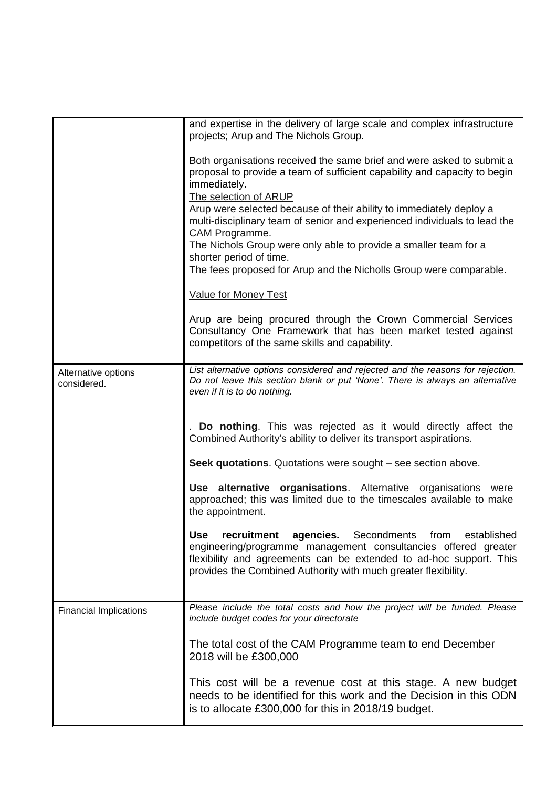|                                    | and expertise in the delivery of large scale and complex infrastructure<br>projects; Arup and The Nichols Group.                                                                                                                                                           |
|------------------------------------|----------------------------------------------------------------------------------------------------------------------------------------------------------------------------------------------------------------------------------------------------------------------------|
|                                    | Both organisations received the same brief and were asked to submit a<br>proposal to provide a team of sufficient capability and capacity to begin<br>immediately.<br>The selection of ARUP                                                                                |
|                                    | Arup were selected because of their ability to immediately deploy a<br>multi-disciplinary team of senior and experienced individuals to lead the<br>CAM Programme.                                                                                                         |
|                                    | The Nichols Group were only able to provide a smaller team for a<br>shorter period of time.<br>The fees proposed for Arup and the Nicholls Group were comparable.                                                                                                          |
|                                    | <b>Value for Money Test</b>                                                                                                                                                                                                                                                |
|                                    | Arup are being procured through the Crown Commercial Services<br>Consultancy One Framework that has been market tested against<br>competitors of the same skills and capability.                                                                                           |
| Alternative options<br>considered. | List alternative options considered and rejected and the reasons for rejection.<br>Do not leave this section blank or put 'None'. There is always an alternative<br>even if it is to do nothing.                                                                           |
|                                    | Do nothing. This was rejected as it would directly affect the<br>Combined Authority's ability to deliver its transport aspirations.                                                                                                                                        |
|                                    | Seek quotations. Quotations were sought - see section above.                                                                                                                                                                                                               |
|                                    | Use alternative organisations. Alternative organisations were<br>approached; this was limited due to the timescales available to make<br>the appointment.                                                                                                                  |
|                                    | recruitment agencies. Secondments from established<br><b>Use</b><br>engineering/programme management consultancies offered greater<br>flexibility and agreements can be extended to ad-hoc support. This<br>provides the Combined Authority with much greater flexibility. |
| <b>Financial Implications</b>      | Please include the total costs and how the project will be funded. Please<br>include budget codes for your directorate                                                                                                                                                     |
|                                    | The total cost of the CAM Programme team to end December<br>2018 will be £300,000                                                                                                                                                                                          |
|                                    | This cost will be a revenue cost at this stage. A new budget<br>needs to be identified for this work and the Decision in this ODN<br>is to allocate £300,000 for this in 2018/19 budget.                                                                                   |